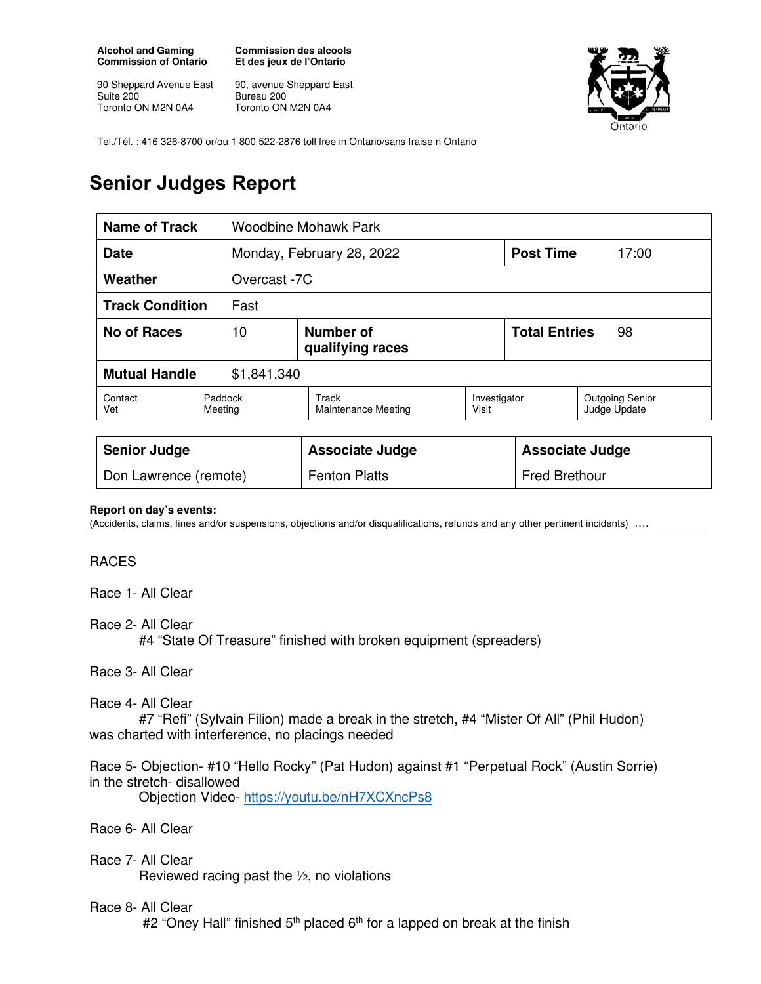**Alcohol and Gaming Commission of Ontario** 

90 Sheppard Avenue East Suite 200 Toronto ON M2N 0A4

**Commission des alcools Et des jeux de l'Ontario** 

90, avenue Sheppard East Bureau 200 Toronto ON M2N 0A4



Tel./Tél. : 416 326-8700 or/ou 1 800 522-2876 toll free in Ontario/sans fraise n Ontario

# **Senior Judges Report**

| <b>Name of Track</b>                |                                     | Woodbine Mohawk Park                |                       |                            |                                        |
|-------------------------------------|-------------------------------------|-------------------------------------|-----------------------|----------------------------|----------------------------------------|
| <b>Date</b>                         |                                     | Monday, February 28, 2022           |                       | <b>Post Time</b>           | 17:00                                  |
| Weather<br>Overcast -7C             |                                     |                                     |                       |                            |                                        |
| <b>Track Condition</b><br>Fast      |                                     |                                     |                       |                            |                                        |
| <b>No of Races</b>                  | Number of<br>10<br>qualifying races |                                     |                       | <b>Total Entries</b><br>98 |                                        |
| <b>Mutual Handle</b><br>\$1,841,340 |                                     |                                     |                       |                            |                                        |
| Contact<br>Vet                      | Paddock<br>Meeting                  | Track<br><b>Maintenance Meeting</b> | Investigator<br>Visit |                            | <b>Outgoing Senior</b><br>Judge Update |
|                                     |                                     |                                     |                       |                            |                                        |
| <b>Senior Judge</b>                 |                                     | <b>Associate Judge</b>              |                       | <b>Associate Judge</b>     |                                        |
| Don Lawrence (remote)               |                                     | <b>Fenton Platts</b>                |                       | <b>Fred Brethour</b>       |                                        |

#### **Report on day's events:**

(Accidents, claims, fines and/or suspensions, objections and/or disqualifications, refunds and any other pertinent incidents) ….

# RACES

Race 1- All Clear

Race 2- All Clear

#4 "State Of Treasure" finished with broken equipment (spreaders)

Race 3- All Clear

## Race 4- All Clear

 #7 "Refi" (Sylvain Filion) made a break in the stretch, #4 "Mister Of All" (Phil Hudon) was charted with interference, no placings needed

Race 5- Objection- #10 "Hello Rocky" (Pat Hudon) against #1 "Perpetual Rock" (Austin Sorrie) in the stretch- disallowed

Objection Video- https://youtu.be/nH7XCXncPs8

Race 6- All Clear

Race 7- All Clear Reviewed racing past the  $\frac{1}{2}$ , no violations

## Race 8- All Clear

#2 "Oney Hall" finished  $5<sup>th</sup>$  placed  $6<sup>th</sup>$  for a lapped on break at the finish